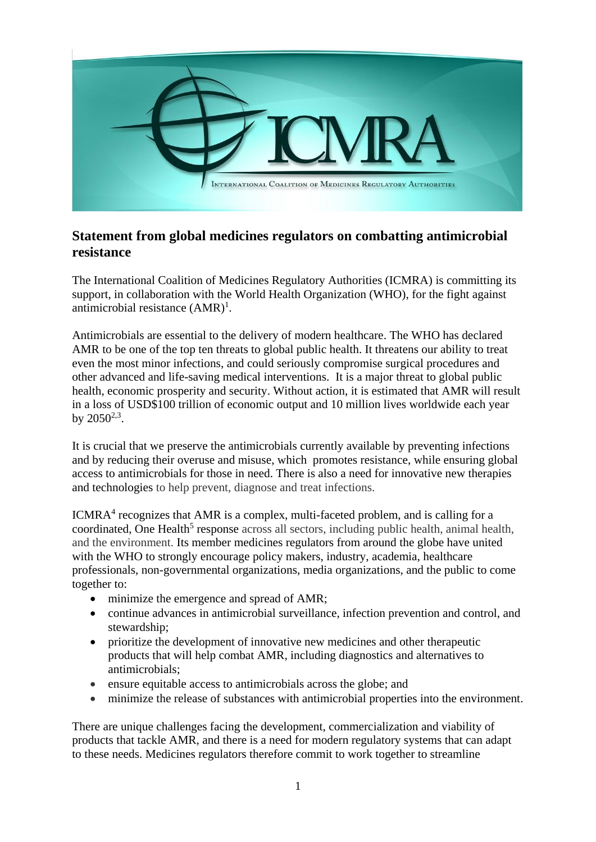

## **Statement from global medicines regulators on combatting antimicrobial resistance**

The International Coalition of Medicines Regulatory Authorities (ICMRA) is committing its support, in collaboration with the World Health Organization (WHO), for the fight against antimicrobial resistance  $(AMR)^1$ .

Antimicrobials are essential to the delivery of modern healthcare. The WHO has declared AMR to be one of the top ten threats to global public health. It threatens our ability to treat even the most minor infections, and could seriously compromise surgical procedures and other advanced and life-saving medical interventions. It is a major threat to global public health, economic prosperity and security. Without action, it is estimated that AMR will result in a loss of USD\$100 trillion of economic output and 10 million lives worldwide each year by  $2050^{2,3}$ .

It is crucial that we preserve the antimicrobials currently available by preventing infections and by reducing their overuse and misuse, which promotes resistance, while ensuring global access to antimicrobials for those in need. There is also a need for innovative new therapies and technologies to help prevent, diagnose and treat infections.

ICMRA<sup>4</sup> recognizes that AMR is a complex, multi-faceted problem, and is calling for a coordinated, One Health<sup>5</sup> response across all sectors, including public health, animal health, and the environment. Its member medicines regulators from around the globe have united with the WHO to strongly encourage policy makers, industry, academia, healthcare professionals, non-governmental organizations, media organizations, and the public to come together to:

- minimize the emergence and spread of AMR;
- continue advances in antimicrobial surveillance, infection prevention and control, and stewardship;
- prioritize the development of innovative new medicines and other therapeutic products that will help combat AMR, including diagnostics and alternatives to antimicrobials;
- ensure equitable access to antimicrobials across the globe; and
- minimize the release of substances with antimicrobial properties into the environment.

There are unique challenges facing the development, commercialization and viability of products that tackle AMR, and there is a need for modern regulatory systems that can adapt to these needs. Medicines regulators therefore commit to work together to streamline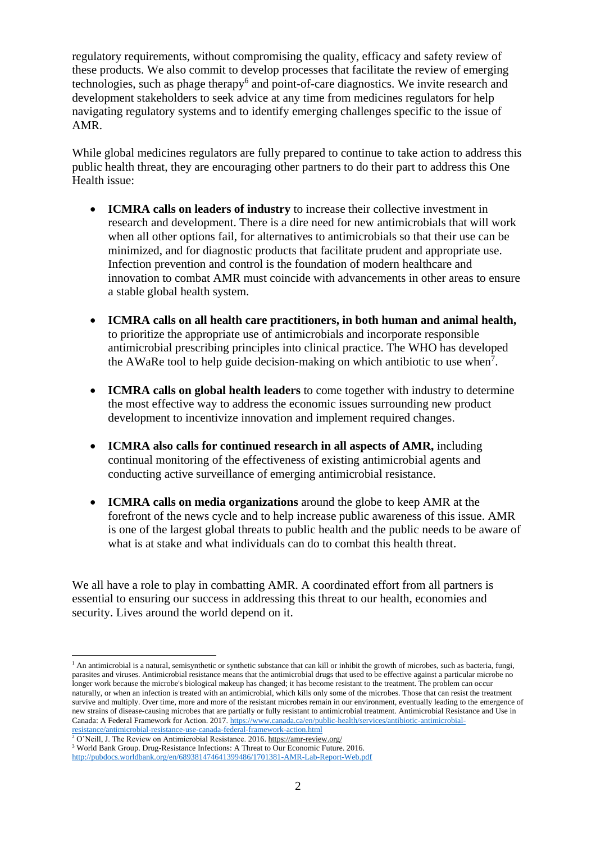regulatory requirements, without compromising the quality, efficacy and safety review of these products. We also commit to develop processes that facilitate the review of emerging technologies, such as phage therapy<sup>6</sup> and point-of-care diagnostics. We invite research and development stakeholders to seek advice at any time from medicines regulators for help navigating regulatory systems and to identify emerging challenges specific to the issue of AMR.

While global medicines regulators are fully prepared to continue to take action to address this public health threat, they are encouraging other partners to do their part to address this One Health issue:

- **ICMRA calls on leaders of industry** to increase their collective investment in research and development. There is a dire need for new antimicrobials that will work when all other options fail, for alternatives to antimicrobials so that their use can be minimized, and for diagnostic products that facilitate prudent and appropriate use. Infection prevention and control is the foundation of modern healthcare and innovation to combat AMR must coincide with advancements in other areas to ensure a stable global health system.
- **ICMRA calls on all health care practitioners, in both human and animal health,** to prioritize the appropriate use of antimicrobials and incorporate responsible antimicrobial prescribing principles into clinical practice. The WHO has developed the AWaRe tool to help guide decision-making on which antibiotic to use when<sup>7</sup>.
- **ICMRA calls on global health leaders** to come together with industry to determine the most effective way to address the economic issues surrounding new product development to incentivize innovation and implement required changes.
- **ICMRA also calls for continued research in all aspects of AMR,** including continual monitoring of the effectiveness of existing antimicrobial agents and conducting active surveillance of emerging antimicrobial resistance.
- **ICMRA calls on media organizations** around the globe to keep AMR at the forefront of the news cycle and to help increase public awareness of this issue. AMR is one of the largest global threats to public health and the public needs to be aware of what is at stake and what individuals can do to combat this health threat.

We all have a role to play in combatting AMR. A coordinated effort from all partners is essential to ensuring our success in addressing this threat to our health, economies and security. Lives around the world depend on it.

1

 $<sup>1</sup>$  An antimicrobial is a natural, semisynthetic or synthetic substance that can kill or inhibit the growth of microbes, such as bacteria, fungi,</sup> parasites and viruses. Antimicrobial resistance means that the antimicrobial drugs that used to be effective against a particular microbe no longer work because the microbe's biological makeup has changed; it has become resistant to the treatment. The problem can occur naturally, or when an infection is treated with an antimicrobial, which kills only some of the microbes. Those that can resist the treatment survive and multiply. Over time, more and more of the resistant microbes remain in our environment, eventually leading to the emergence of new strains of disease-causing microbes that are partially or fully resistant to antimicrobial treatment. Antimicrobial Resistance and Use in Canada: A Federal Framework for Action. 2017[. https://www.canada.ca/en/public-health/services/antibiotic-antimicrobial](https://www.canada.ca/en/public-health/services/antibiotic-antimicrobial-resistance/antimicrobial-resistance-use-canada-federal-framework-action.html)[resistance/antimicrobial-resistance-use-canada-federal-framework-action.html](https://www.canada.ca/en/public-health/services/antibiotic-antimicrobial-resistance/antimicrobial-resistance-use-canada-federal-framework-action.html)

<sup>&</sup>lt;sup>2</sup> O'Neill, J. The Review on Antimicrobial Resistance. 2016. <https://amr-review.org/>

<sup>&</sup>lt;sup>3</sup> World Bank Group. Drug-Resistance Infections: A Threat to Our Economic Future. 2016.

<http://pubdocs.worldbank.org/en/689381474641399486/1701381-AMR-Lab-Report-Web.pdf>